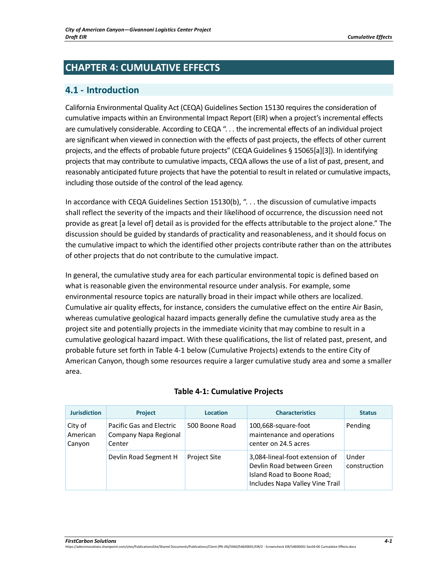# **CHAPTER 4: CUMULATIVE EFFECTS**

# **4.1 - Introduction**

California Environmental Quality Act (CEQA) Guidelines Section 15130 requires the consideration of cumulative impacts within an Environmental Impact Report (EIR) when a project's incremental effects are cumulatively considerable. According to CEQA ". . . the incremental effects of an individual project are significant when viewed in connection with the effects of past projects, the effects of other current projects, and the effects of probable future projects" (CEQA Guidelines § 15065[a][3]). In identifying projects that may contribute to cumulative impacts, CEQA allows the use of a list of past, present, and reasonably anticipated future projects that have the potential to result in related or cumulative impacts, including those outside of the control of the lead agency.

In accordance with CEQA Guidelines Section 15130(b), ". . . the discussion of cumulative impacts shall reflect the severity of the impacts and their likelihood of occurrence, the discussion need not provide as great [a level of] detail as is provided for the effects attributable to the project alone." The discussion should be guided by standards of practicality and reasonableness, and it should focus on the cumulative impact to which the identified other projects contribute rather than on the attributes of other projects that do not contribute to the cumulative impact.

In general, the cumulative study area for each particular environmental topic is defined based on what is reasonable given the environmental resource under analysis. For example, some environmental resource topics are naturally broad in their impact while others are localized. Cumulative air quality effects, for instance, considers the cumulative effect on the entire Air Basin, whereas cumulative geological hazard impacts generally define the cumulative study area as the project site and potentially projects in the immediate vicinity that may combine to result in a cumulative geological hazard impact. With these qualifications, the list of related past, present, and probable future set forth in Table 4-1 below (Cumulative Projects) extends to the entire City of American Canyon, though some resources require a larger cumulative study area and some a smaller area.

| <b>Jurisdiction</b>           | <b>Project</b>                                              | <b>Location</b>     | <b>Characteristics</b>                                                                                                       | <b>Status</b>         |
|-------------------------------|-------------------------------------------------------------|---------------------|------------------------------------------------------------------------------------------------------------------------------|-----------------------|
| City of<br>American<br>Canyon | Pacific Gas and Electric<br>Company Napa Regional<br>Center | 500 Boone Road      | 100,668-square-foot<br>maintenance and operations<br>center on 24.5 acres                                                    | Pending               |
|                               | Devlin Road Segment H                                       | <b>Project Site</b> | 3,084-lineal-foot extension of<br>Devlin Road between Green<br>Island Road to Boone Road;<br>Includes Napa Valley Vine Trail | Under<br>construction |

### **Table 4-1: Cumulative Projects**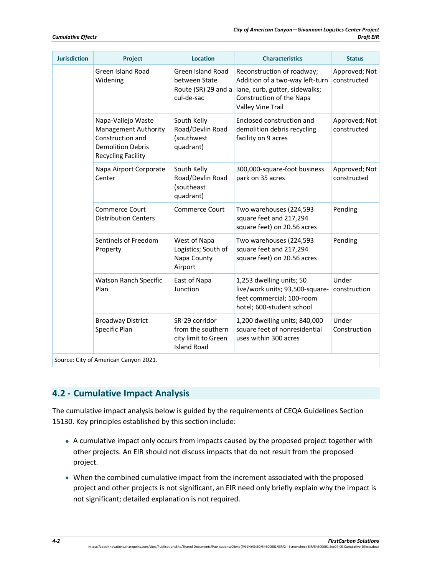| Project                                                                                                                 | <b>Location</b>                                                                  | <b>Characteristics</b>                                                                                                                           | <b>Status</b>                |
|-------------------------------------------------------------------------------------------------------------------------|----------------------------------------------------------------------------------|--------------------------------------------------------------------------------------------------------------------------------------------------|------------------------------|
| <b>Green Island Road</b><br>Widening                                                                                    | <b>Green Island Road</b><br>between State<br>Route (SR) 29 and a<br>cul-de-sac   | Reconstruction of roadway;<br>Addition of a two-way left-turn<br>lane, curb, gutter, sidewalks;<br>Construction of the Napa<br>Valley Vine Trail | Approved; Not<br>constructed |
| Napa-Vallejo Waste<br>Management Authority<br>Construction and<br><b>Demolition Debris</b><br><b>Recycling Facility</b> | South Kelly<br>Road/Devlin Road<br>(southwest<br>quadrant)                       | Enclosed construction and<br>demolition debris recycling<br>facility on 9 acres                                                                  | Approved; Not<br>constructed |
| Napa Airport Corporate<br>Center                                                                                        | South Kelly<br>Road/Devlin Road<br>(southeast<br>quadrant)                       | 300,000-square-foot business<br>park on 35 acres                                                                                                 | Approved; Not<br>constructed |
| Commerce Court<br><b>Distribution Centers</b>                                                                           | Commerce Court                                                                   | Two warehouses (224,593<br>square feet and 217,294<br>square feet) on 20.56 acres                                                                | Pending                      |
| Sentinels of Freedom<br>Property                                                                                        | West of Napa<br>Logistics; South of<br>Napa County<br>Airport                    | Two warehouses (224,593<br>square feet and 217,294<br>square feet) on 20.56 acres                                                                | Pending                      |
| Watson Ranch Specific<br>Plan                                                                                           | East of Napa<br>Junction                                                         | 1,253 dwelling units; 50<br>live/work units; 93,500-square-<br>feet commercial; 100-room<br>hotel; 600-student school                            | Under<br>construction        |
| <b>Broadway District</b><br>Specific Plan                                                                               | SR-29 corridor<br>from the southern<br>city limit to Green<br><b>Island Road</b> | 1,200 dwelling units; 840,000<br>square feet of nonresidential<br>uses within 300 acres                                                          | Under<br>Construction        |
|                                                                                                                         | Source: City of American Canyon 2021.                                            |                                                                                                                                                  |                              |

# **4.2 - Cumulative Impact Analysis**

The cumulative impact analysis below is guided by the requirements of CEQA Guidelines Section 15130. Key principles established by this section include:

- A cumulative impact only occurs from impacts caused by the proposed project together with other projects. An EIR should not discuss impacts that do not result from the proposed project.
- When the combined cumulative impact from the increment associated with the proposed project and other projects is not significant, an EIR need only briefly explain why the impact is not significant; detailed explanation is not required.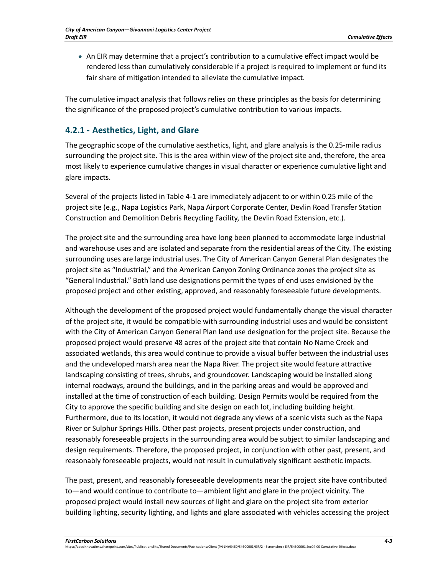• An EIR may determine that a project's contribution to a cumulative effect impact would be rendered less than cumulatively considerable if a project is required to implement or fund its fair share of mitigation intended to alleviate the cumulative impact.

The cumulative impact analysis that follows relies on these principles as the basis for determining the significance of the proposed project's cumulative contribution to various impacts.

# **4.2.1 - Aesthetics, Light, and Glare**

The geographic scope of the cumulative aesthetics, light, and glare analysis is the 0.25-mile radius surrounding the project site. This is the area within view of the project site and, therefore, the area most likely to experience cumulative changes in visual character or experience cumulative light and glare impacts.

Several of the projects listed in Table 4-1 are immediately adjacent to or within 0.25 mile of the project site (e.g., Napa Logistics Park, Napa Airport Corporate Center, Devlin Road Transfer Station Construction and Demolition Debris Recycling Facility, the Devlin Road Extension, etc.).

The project site and the surrounding area have long been planned to accommodate large industrial and warehouse uses and are isolated and separate from the residential areas of the City. The existing surrounding uses are large industrial uses. The City of American Canyon General Plan designates the project site as "Industrial," and the American Canyon Zoning Ordinance zones the project site as "General Industrial." Both land use designations permit the types of end uses envisioned by the proposed project and other existing, approved, and reasonably foreseeable future developments.

Although the development of the proposed project would fundamentally change the visual character of the project site, it would be compatible with surrounding industrial uses and would be consistent with the City of American Canyon General Plan land use designation for the project site. Because the proposed project would preserve 48 acres of the project site that contain No Name Creek and associated wetlands, this area would continue to provide a visual buffer between the industrial uses and the undeveloped marsh area near the Napa River. The project site would feature attractive landscaping consisting of trees, shrubs, and groundcover. Landscaping would be installed along internal roadways, around the buildings, and in the parking areas and would be approved and installed at the time of construction of each building. Design Permits would be required from the City to approve the specific building and site design on each lot, including building height. Furthermore, due to its location, it would not degrade any views of a scenic vista such as the Napa River or Sulphur Springs Hills. Other past projects, present projects under construction, and reasonably foreseeable projects in the surrounding area would be subject to similar landscaping and design requirements. Therefore, the proposed project, in conjunction with other past, present, and reasonably foreseeable projects, would not result in cumulatively significant aesthetic impacts.

The past, present, and reasonably foreseeable developments near the project site have contributed to—and would continue to contribute to—ambient light and glare in the project vicinity. The proposed project would install new sources of light and glare on the project site from exterior building lighting, security lighting, and lights and glare associated with vehicles accessing the project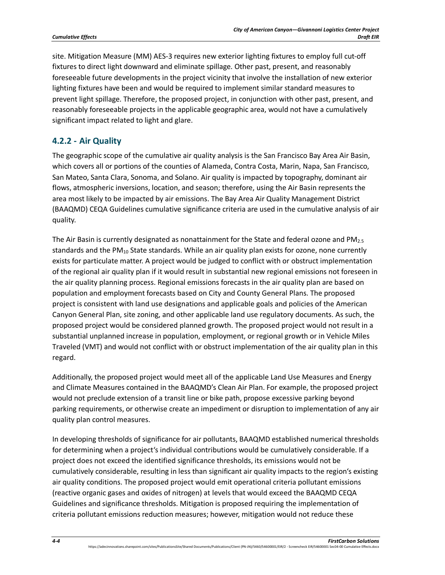site. Mitigation Measure (MM) AES-3 requires new exterior lighting fixtures to employ full cut-off fixtures to direct light downward and eliminate spillage. Other past, present, and reasonably foreseeable future developments in the project vicinity that involve the installation of new exterior lighting fixtures have been and would be required to implement similar standard measures to prevent light spillage. Therefore, the proposed project, in conjunction with other past, present, and reasonably foreseeable projects in the applicable geographic area, would not have a cumulatively significant impact related to light and glare.

### **4.2.2 - Air Quality**

The geographic scope of the cumulative air quality analysis is the San Francisco Bay Area Air Basin, which covers all or portions of the counties of Alameda, Contra Costa, Marin, Napa, San Francisco, San Mateo, Santa Clara, Sonoma, and Solano. Air quality is impacted by topography, dominant air flows, atmospheric inversions, location, and season; therefore, using the Air Basin represents the area most likely to be impacted by air emissions. The Bay Area Air Quality Management District (BAAQMD) CEQA Guidelines cumulative significance criteria are used in the cumulative analysis of air quality.

The Air Basin is currently designated as nonattainment for the State and federal ozone and  $PM_{2.5}$ standards and the  $PM_{10}$  State standards. While an air quality plan exists for ozone, none currently exists for particulate matter. A project would be judged to conflict with or obstruct implementation of the regional air quality plan if it would result in substantial new regional emissions not foreseen in the air quality planning process. Regional emissions forecasts in the air quality plan are based on population and employment forecasts based on City and County General Plans. The proposed project is consistent with land use designations and applicable goals and policies of the American Canyon General Plan, site zoning, and other applicable land use regulatory documents. As such, the proposed project would be considered planned growth. The proposed project would not result in a substantial unplanned increase in population, employment, or regional growth or in Vehicle Miles Traveled (VMT) and would not conflict with or obstruct implementation of the air quality plan in this regard.

Additionally, the proposed project would meet all of the applicable Land Use Measures and Energy and Climate Measures contained in the BAAQMD's Clean Air Plan. For example, the proposed project would not preclude extension of a transit line or bike path, propose excessive parking beyond parking requirements, or otherwise create an impediment or disruption to implementation of any air quality plan control measures.

In developing thresholds of significance for air pollutants, BAAQMD established numerical thresholds for determining when a project's individual contributions would be cumulatively considerable. If a project does not exceed the identified significance thresholds, its emissions would not be cumulatively considerable, resulting in less than significant air quality impacts to the region's existing air quality conditions. The proposed project would emit operational criteria pollutant emissions (reactive organic gases and oxides of nitrogen) at levels that would exceed the BAAQMD CEQA Guidelines and significance thresholds. Mitigation is proposed requiring the implementation of criteria pollutant emissions reduction measures; however, mitigation would not reduce these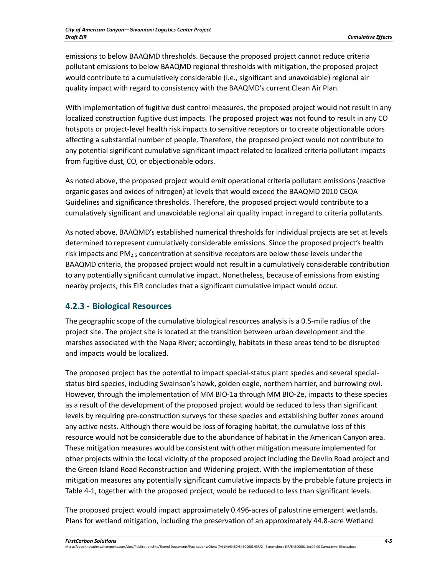emissions to below BAAQMD thresholds. Because the proposed project cannot reduce criteria pollutant emissions to below BAAQMD regional thresholds with mitigation, the proposed project would contribute to a cumulatively considerable (i.e., significant and unavoidable) regional air quality impact with regard to consistency with the BAAQMD's current Clean Air Plan.

With implementation of fugitive dust control measures, the proposed project would not result in any localized construction fugitive dust impacts. The proposed project was not found to result in any CO hotspots or project-level health risk impacts to sensitive receptors or to create objectionable odors affecting a substantial number of people. Therefore, the proposed project would not contribute to any potential significant cumulative significant impact related to localized criteria pollutant impacts from fugitive dust, CO, or objectionable odors.

As noted above, the proposed project would emit operational criteria pollutant emissions (reactive organic gases and oxides of nitrogen) at levels that would exceed the BAAQMD 2010 CEQA Guidelines and significance thresholds. Therefore, the proposed project would contribute to a cumulatively significant and unavoidable regional air quality impact in regard to criteria pollutants.

As noted above, BAAQMD's established numerical thresholds for individual projects are set at levels determined to represent cumulatively considerable emissions. Since the proposed project's health risk impacts and  $PM<sub>2.5</sub>$  concentration at sensitive receptors are below these levels under the BAAQMD criteria, the proposed project would not result in a cumulatively considerable contribution to any potentially significant cumulative impact. Nonetheless, because of emissions from existing nearby projects, this EIR concludes that a significant cumulative impact would occur.

### **4.2.3 - Biological Resources**

The geographic scope of the cumulative biological resources analysis is a 0.5-mile radius of the project site. The project site is located at the transition between urban development and the marshes associated with the Napa River; accordingly, habitats in these areas tend to be disrupted and impacts would be localized.

The proposed project has the potential to impact special-status plant species and several specialstatus bird species, including Swainson's hawk, golden eagle, northern harrier, and burrowing owl. However, through the implementation of MM BIO-1a through MM BIO-2e, impacts to these species as a result of the development of the proposed project would be reduced to less than significant levels by requiring pre-construction surveys for these species and establishing buffer zones around any active nests. Although there would be loss of foraging habitat, the cumulative loss of this resource would not be considerable due to the abundance of habitat in the American Canyon area. These mitigation measures would be consistent with other mitigation measure implemented for other projects within the local vicinity of the proposed project including the Devlin Road project and the Green Island Road Reconstruction and Widening project. With the implementation of these mitigation measures any potentially significant cumulative impacts by the probable future projects in Table 4-1, together with the proposed project, would be reduced to less than significant levels.

The proposed project would impact approximately 0.496-acres of palustrine emergent wetlands. Plans for wetland mitigation, including the preservation of an approximately 44.8-acre Wetland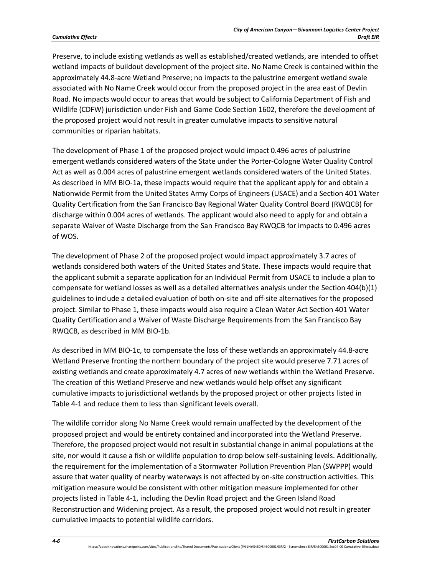Preserve, to include existing wetlands as well as established/created wetlands, are intended to offset wetland impacts of buildout development of the project site. No Name Creek is contained within the approximately 44.8-acre Wetland Preserve; no impacts to the palustrine emergent wetland swale associated with No Name Creek would occur from the proposed project in the area east of Devlin Road. No impacts would occur to areas that would be subject to California Department of Fish and Wildlife (CDFW) jurisdiction under Fish and Game Code Section 1602, therefore the development of the proposed project would not result in greater cumulative impacts to sensitive natural communities or riparian habitats.

The development of Phase 1 of the proposed project would impact 0.496 acres of palustrine emergent wetlands considered waters of the State under the Porter-Cologne Water Quality Control Act as well as 0.004 acres of palustrine emergent wetlands considered waters of the United States. As described in MM BIO-1a, these impacts would require that the applicant apply for and obtain a Nationwide Permit from the United States Army Corps of Engineers (USACE) and a Section 401 Water Quality Certification from the San Francisco Bay Regional Water Quality Control Board (RWQCB) for discharge within 0.004 acres of wetlands. The applicant would also need to apply for and obtain a separate Waiver of Waste Discharge from the San Francisco Bay RWQCB for impacts to 0.496 acres of WOS.

The development of Phase 2 of the proposed project would impact approximately 3.7 acres of wetlands considered both waters of the United States and State. These impacts would require that the applicant submit a separate application for an Individual Permit from USACE to include a plan to compensate for wetland losses as well as a detailed alternatives analysis under the Section 404(b)(1) guidelines to include a detailed evaluation of both on-site and off-site alternatives for the proposed project. Similar to Phase 1, these impacts would also require a Clean Water Act Section 401 Water Quality Certification and a Waiver of Waste Discharge Requirements from the San Francisco Bay RWQCB, as described in MM BIO-1b.

As described in MM BIO-1c, to compensate the loss of these wetlands an approximately 44.8-acre Wetland Preserve fronting the northern boundary of the project site would preserve 7.71 acres of existing wetlands and create approximately 4.7 acres of new wetlands within the Wetland Preserve. The creation of this Wetland Preserve and new wetlands would help offset any significant cumulative impacts to jurisdictional wetlands by the proposed project or other projects listed in Table 4-1 and reduce them to less than significant levels overall.

The wildlife corridor along No Name Creek would remain unaffected by the development of the proposed project and would be entirety contained and incorporated into the Wetland Preserve. Therefore, the proposed project would not result in substantial change in animal populations at the site, nor would it cause a fish or wildlife population to drop below self-sustaining levels. Additionally, the requirement for the implementation of a Stormwater Pollution Prevention Plan (SWPPP) would assure that water quality of nearby waterways is not affected by on-site construction activities. This mitigation measure would be consistent with other mitigation measure implemented for other projects listed in Table 4-1, including the Devlin Road project and the Green Island Road Reconstruction and Widening project. As a result, the proposed project would not result in greater cumulative impacts to potential wildlife corridors.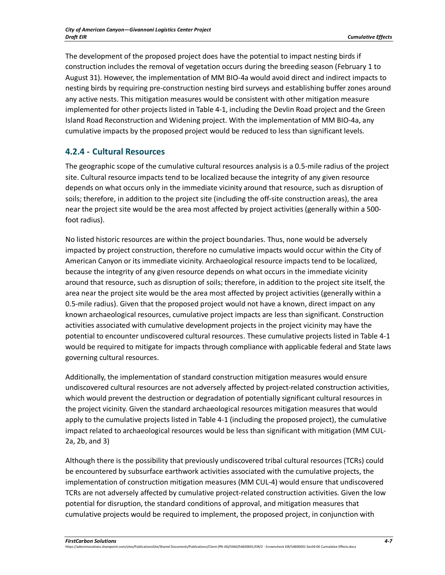The development of the proposed project does have the potential to impact nesting birds if construction includes the removal of vegetation occurs during the breeding season (February 1 to August 31). However, the implementation of MM BIO-4a would avoid direct and indirect impacts to nesting birds by requiring pre-construction nesting bird surveys and establishing buffer zones around any active nests. This mitigation measures would be consistent with other mitigation measure implemented for other projects listed in Table 4-1, including the Devlin Road project and the Green Island Road Reconstruction and Widening project. With the implementation of MM BIO-4a, any cumulative impacts by the proposed project would be reduced to less than significant levels.

# **4.2.4 - Cultural Resources**

The geographic scope of the cumulative cultural resources analysis is a 0.5-mile radius of the project site. Cultural resource impacts tend to be localized because the integrity of any given resource depends on what occurs only in the immediate vicinity around that resource, such as disruption of soils; therefore, in addition to the project site (including the off-site construction areas), the area near the project site would be the area most affected by project activities (generally within a 500 foot radius).

No listed historic resources are within the project boundaries. Thus, none would be adversely impacted by project construction, therefore no cumulative impacts would occur within the City of American Canyon or its immediate vicinity. Archaeological resource impacts tend to be localized, because the integrity of any given resource depends on what occurs in the immediate vicinity around that resource, such as disruption of soils; therefore, in addition to the project site itself, the area near the project site would be the area most affected by project activities (generally within a 0.5-mile radius). Given that the proposed project would not have a known, direct impact on any known archaeological resources, cumulative project impacts are less than significant. Construction activities associated with cumulative development projects in the project vicinity may have the potential to encounter undiscovered cultural resources. These cumulative projects listed in Table 4-1 would be required to mitigate for impacts through compliance with applicable federal and State laws governing cultural resources.

Additionally, the implementation of standard construction mitigation measures would ensure undiscovered cultural resources are not adversely affected by project-related construction activities, which would prevent the destruction or degradation of potentially significant cultural resources in the project vicinity. Given the standard archaeological resources mitigation measures that would apply to the cumulative projects listed in Table 4-1 (including the proposed project), the cumulative impact related to archaeological resources would be less than significant with mitigation (MM CUL-2a, 2b, and 3)

Although there is the possibility that previously undiscovered tribal cultural resources (TCRs) could be encountered by subsurface earthwork activities associated with the cumulative projects, the implementation of construction mitigation measures (MM CUL-4) would ensure that undiscovered TCRs are not adversely affected by cumulative project-related construction activities. Given the low potential for disruption, the standard conditions of approval, and mitigation measures that cumulative projects would be required to implement, the proposed project, in conjunction with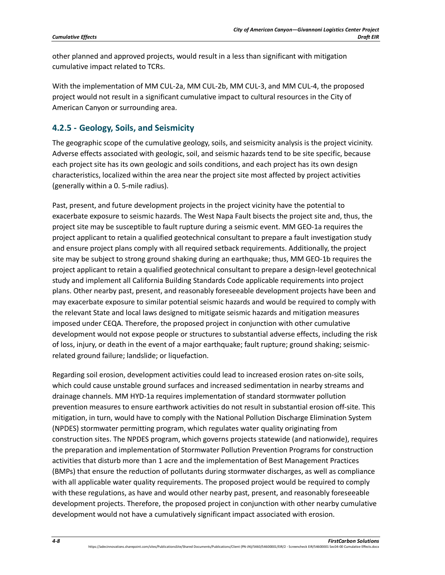other planned and approved projects, would result in a less than significant with mitigation cumulative impact related to TCRs.

With the implementation of MM CUL-2a, MM CUL-2b, MM CUL-3, and MM CUL-4, the proposed project would not result in a significant cumulative impact to cultural resources in the City of American Canyon or surrounding area.

# **4.2.5 - Geology, Soils, and Seismicity**

The geographic scope of the cumulative geology, soils, and seismicity analysis is the project vicinity. Adverse effects associated with geologic, soil, and seismic hazards tend to be site specific, because each project site has its own geologic and soils conditions, and each project has its own design characteristics, localized within the area near the project site most affected by project activities (generally within a 0. 5-mile radius).

Past, present, and future development projects in the project vicinity have the potential to exacerbate exposure to seismic hazards. The West Napa Fault bisects the project site and, thus, the project site may be susceptible to fault rupture during a seismic event. MM GEO-1a requires the project applicant to retain a qualified geotechnical consultant to prepare a fault investigation study and ensure project plans comply with all required setback requirements. Additionally, the project site may be subject to strong ground shaking during an earthquake; thus, MM GEO-1b requires the project applicant to retain a qualified geotechnical consultant to prepare a design-level geotechnical study and implement all California Building Standards Code applicable requirements into project plans. Other nearby past, present, and reasonably foreseeable development projects have been and may exacerbate exposure to similar potential seismic hazards and would be required to comply with the relevant State and local laws designed to mitigate seismic hazards and mitigation measures imposed under CEQA. Therefore, the proposed project in conjunction with other cumulative development would not expose people or structures to substantial adverse effects, including the risk of loss, injury, or death in the event of a major earthquake; fault rupture; ground shaking; seismicrelated ground failure; landslide; or liquefaction.

Regarding soil erosion, development activities could lead to increased erosion rates on-site soils, which could cause unstable ground surfaces and increased sedimentation in nearby streams and drainage channels. MM HYD-1a requires implementation of standard stormwater pollution prevention measures to ensure earthwork activities do not result in substantial erosion off-site. This mitigation, in turn, would have to comply with the National Pollution Discharge Elimination System (NPDES) stormwater permitting program, which regulates water quality originating from construction sites. The NPDES program, which governs projects statewide (and nationwide), requires the preparation and implementation of Stormwater Pollution Prevention Programs for construction activities that disturb more than 1 acre and the implementation of Best Management Practices (BMPs) that ensure the reduction of pollutants during stormwater discharges, as well as compliance with all applicable water quality requirements. The proposed project would be required to comply with these regulations, as have and would other nearby past, present, and reasonably foreseeable development projects. Therefore, the proposed project in conjunction with other nearby cumulative development would not have a cumulatively significant impact associated with erosion.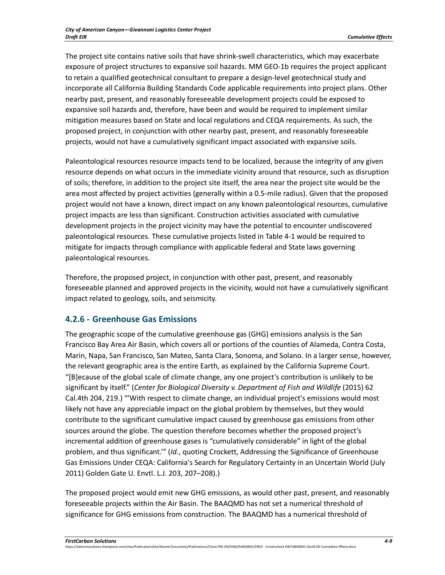The project site contains native soils that have shrink-swell characteristics, which may exacerbate exposure of project structures to expansive soil hazards. MM GEO-1b requires the project applicant to retain a qualified geotechnical consultant to prepare a design-level geotechnical study and incorporate all California Building Standards Code applicable requirements into project plans. Other nearby past, present, and reasonably foreseeable development projects could be exposed to expansive soil hazards and, therefore, have been and would be required to implement similar mitigation measures based on State and local regulations and CEQA requirements. As such, the proposed project, in conjunction with other nearby past, present, and reasonably foreseeable projects, would not have a cumulatively significant impact associated with expansive soils.

Paleontological resources resource impacts tend to be localized, because the integrity of any given resource depends on what occurs in the immediate vicinity around that resource, such as disruption of soils; therefore, in addition to the project site itself, the area near the project site would be the area most affected by project activities (generally within a 0.5-mile radius). Given that the proposed project would not have a known, direct impact on any known paleontological resources, cumulative project impacts are less than significant. Construction activities associated with cumulative development projects in the project vicinity may have the potential to encounter undiscovered paleontological resources. These cumulative projects listed in Table 4-1 would be required to mitigate for impacts through compliance with applicable federal and State laws governing paleontological resources.

Therefore, the proposed project, in conjunction with other past, present, and reasonably foreseeable planned and approved projects in the vicinity, would not have a cumulatively significant impact related to geology, soils, and seismicity.

### **4.2.6 - Greenhouse Gas Emissions**

The geographic scope of the cumulative greenhouse gas (GHG) emissions analysis is the San Francisco Bay Area Air Basin, which covers all or portions of the counties of Alameda, Contra Costa, Marin, Napa, San Francisco, San Mateo, Santa Clara, Sonoma, and Solano. In a larger sense, however, the relevant geographic area is the entire Earth, as explained by the California Supreme Court. "[B]ecause of the global scale of climate change, any one project's contribution is unlikely to be significant by itself." (*Center for Biological Diversity v. Department of Fish and Wildlife* (2015) 62 Cal.4th 204, 219.) "'With respect to climate change, an individual project's emissions would most likely not have any appreciable impact on the global problem by themselves, but they would contribute to the significant cumulative impact caused by greenhouse gas emissions from other sources around the globe. The question therefore becomes whether the proposed project's incremental addition of greenhouse gases is "cumulatively considerable" in light of the global problem, and thus significant.'" (*Id.*, quoting Crockett, Addressing the Significance of Greenhouse Gas Emissions Under CEQA: California's Search for Regulatory Certainty in an Uncertain World (July 2011) Golden Gate U. Envtl. L.J. 203, 207–208).)

The proposed project would emit new GHG emissions, as would other past, present, and reasonably foreseeable projects within the Air Basin. The BAAQMD has not set a numerical threshold of significance for GHG emissions from construction. The BAAQMD has a numerical threshold of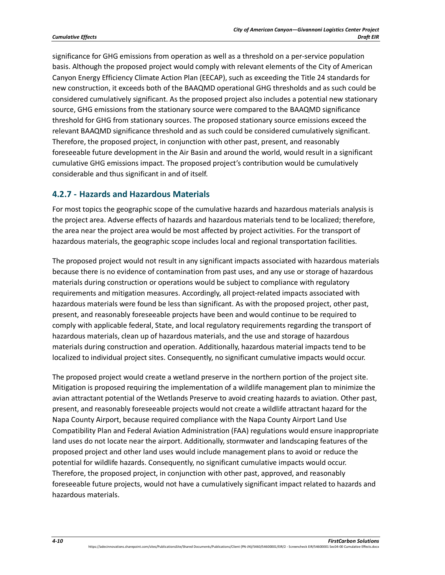significance for GHG emissions from operation as well as a threshold on a per-service population basis. Although the proposed project would comply with relevant elements of the City of American Canyon Energy Efficiency Climate Action Plan (EECAP), such as exceeding the Title 24 standards for new construction, it exceeds both of the BAAQMD operational GHG thresholds and as such could be considered cumulatively significant. As the proposed project also includes a potential new stationary source, GHG emissions from the stationary source were compared to the BAAQMD significance threshold for GHG from stationary sources. The proposed stationary source emissions exceed the relevant BAAQMD significance threshold and as such could be considered cumulatively significant. Therefore, the proposed project, in conjunction with other past, present, and reasonably foreseeable future development in the Air Basin and around the world, would result in a significant cumulative GHG emissions impact. The proposed project's contribution would be cumulatively considerable and thus significant in and of itself.

### **4.2.7 - Hazards and Hazardous Materials**

For most topics the geographic scope of the cumulative hazards and hazardous materials analysis is the project area. Adverse effects of hazards and hazardous materials tend to be localized; therefore, the area near the project area would be most affected by project activities. For the transport of hazardous materials, the geographic scope includes local and regional transportation facilities.

The proposed project would not result in any significant impacts associated with hazardous materials because there is no evidence of contamination from past uses, and any use or storage of hazardous materials during construction or operations would be subject to compliance with regulatory requirements and mitigation measures. Accordingly, all project-related impacts associated with hazardous materials were found be less than significant. As with the proposed project, other past, present, and reasonably foreseeable projects have been and would continue to be required to comply with applicable federal, State, and local regulatory requirements regarding the transport of hazardous materials, clean up of hazardous materials, and the use and storage of hazardous materials during construction and operation. Additionally, hazardous material impacts tend to be localized to individual project sites. Consequently, no significant cumulative impacts would occur.

The proposed project would create a wetland preserve in the northern portion of the project site. Mitigation is proposed requiring the implementation of a wildlife management plan to minimize the avian attractant potential of the Wetlands Preserve to avoid creating hazards to aviation. Other past, present, and reasonably foreseeable projects would not create a wildlife attractant hazard for the Napa County Airport, because required compliance with the Napa County Airport Land Use Compatibility Plan and Federal Aviation Administration (FAA) regulations would ensure inappropriate land uses do not locate near the airport. Additionally, stormwater and landscaping features of the proposed project and other land uses would include management plans to avoid or reduce the potential for wildlife hazards. Consequently, no significant cumulative impacts would occur. Therefore, the proposed project, in conjunction with other past, approved, and reasonably foreseeable future projects, would not have a cumulatively significant impact related to hazards and hazardous materials.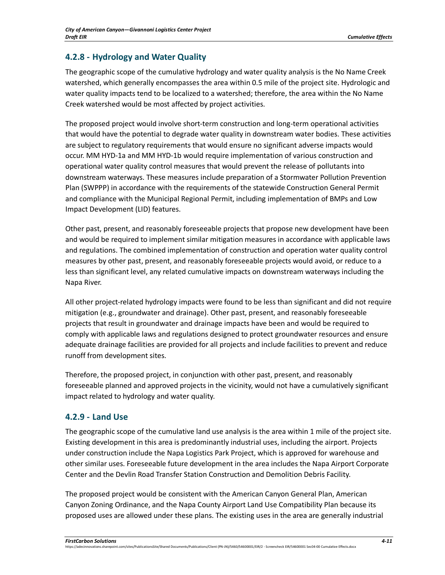# **4.2.8 - Hydrology and Water Quality**

The geographic scope of the cumulative hydrology and water quality analysis is the No Name Creek watershed, which generally encompasses the area within 0.5 mile of the project site. Hydrologic and water quality impacts tend to be localized to a watershed; therefore, the area within the No Name Creek watershed would be most affected by project activities.

The proposed project would involve short-term construction and long-term operational activities that would have the potential to degrade water quality in downstream water bodies. These activities are subject to regulatory requirements that would ensure no significant adverse impacts would occur. MM HYD-1a and MM HYD-1b would require implementation of various construction and operational water quality control measures that would prevent the release of pollutants into downstream waterways. These measures include preparation of a Stormwater Pollution Prevention Plan (SWPPP) in accordance with the requirements of the statewide Construction General Permit and compliance with the Municipal Regional Permit, including implementation of BMPs and Low Impact Development (LID) features.

Other past, present, and reasonably foreseeable projects that propose new development have been and would be required to implement similar mitigation measures in accordance with applicable laws and regulations. The combined implementation of construction and operation water quality control measures by other past, present, and reasonably foreseeable projects would avoid, or reduce to a less than significant level, any related cumulative impacts on downstream waterways including the Napa River.

All other project-related hydrology impacts were found to be less than significant and did not require mitigation (e.g., groundwater and drainage). Other past, present, and reasonably foreseeable projects that result in groundwater and drainage impacts have been and would be required to comply with applicable laws and regulations designed to protect groundwater resources and ensure adequate drainage facilities are provided for all projects and include facilities to prevent and reduce runoff from development sites.

Therefore, the proposed project, in conjunction with other past, present, and reasonably foreseeable planned and approved projects in the vicinity, would not have a cumulatively significant impact related to hydrology and water quality.

### **4.2.9 - Land Use**

The geographic scope of the cumulative land use analysis is the area within 1 mile of the project site. Existing development in this area is predominantly industrial uses, including the airport. Projects under construction include the Napa Logistics Park Project, which is approved for warehouse and other similar uses. Foreseeable future development in the area includes the Napa Airport Corporate Center and the Devlin Road Transfer Station Construction and Demolition Debris Facility.

The proposed project would be consistent with the American Canyon General Plan, American Canyon Zoning Ordinance, and the Napa County Airport Land Use Compatibility Plan because its proposed uses are allowed under these plans. The existing uses in the area are generally industrial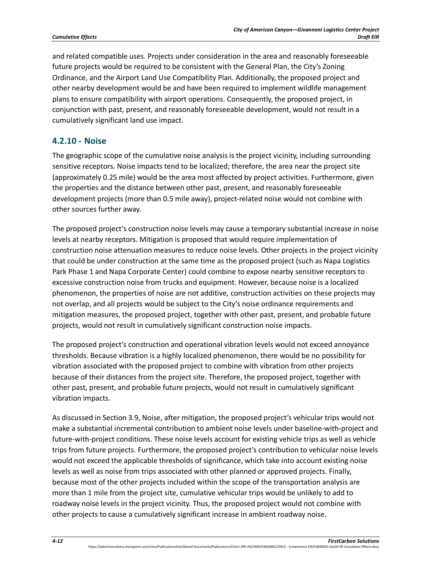and related compatible uses. Projects under consideration in the area and reasonably foreseeable future projects would be required to be consistent with the General Plan, the City's Zoning Ordinance, and the Airport Land Use Compatibility Plan. Additionally, the proposed project and other nearby development would be and have been required to implement wildlife management plans to ensure compatibility with airport operations. Consequently, the proposed project, in conjunction with past, present, and reasonably foreseeable development, would not result in a cumulatively significant land use impact.

#### **4.2.10 - Noise**

The geographic scope of the cumulative noise analysis is the project vicinity, including surrounding sensitive receptors. Noise impacts tend to be localized; therefore, the area near the project site (approximately 0.25 mile) would be the area most affected by project activities. Furthermore, given the properties and the distance between other past, present, and reasonably foreseeable development projects (more than 0.5 mile away), project-related noise would not combine with other sources further away.

The proposed project's construction noise levels may cause a temporary substantial increase in noise levels at nearby receptors. Mitigation is proposed that would require implementation of construction noise attenuation measures to reduce noise levels. Other projects in the project vicinity that could be under construction at the same time as the proposed project (such as Napa Logistics Park Phase 1 and Napa Corporate Center) could combine to expose nearby sensitive receptors to excessive construction noise from trucks and equipment. However, because noise is a localized phenomenon, the properties of noise are not additive, construction activities on these projects may not overlap, and all projects would be subject to the City's noise ordinance requirements and mitigation measures, the proposed project, together with other past, present, and probable future projects, would not result in cumulatively significant construction noise impacts.

The proposed project's construction and operational vibration levels would not exceed annoyance thresholds. Because vibration is a highly localized phenomenon, there would be no possibility for vibration associated with the proposed project to combine with vibration from other projects because of their distances from the project site. Therefore, the proposed project, together with other past, present, and probable future projects, would not result in cumulatively significant vibration impacts.

As discussed in Section 3.9, Noise, after mitigation, the proposed project's vehicular trips would not make a substantial incremental contribution to ambient noise levels under baseline-with-project and future-with-project conditions. These noise levels account for existing vehicle trips as well as vehicle trips from future projects. Furthermore, the proposed project's contribution to vehicular noise levels would not exceed the applicable thresholds of significance, which take into account existing noise levels as well as noise from trips associated with other planned or approved projects. Finally, because most of the other projects included within the scope of the transportation analysis are more than 1 mile from the project site, cumulative vehicular trips would be unlikely to add to roadway noise levels in the project vicinity. Thus, the proposed project would not combine with other projects to cause a cumulatively significant increase in ambient roadway noise.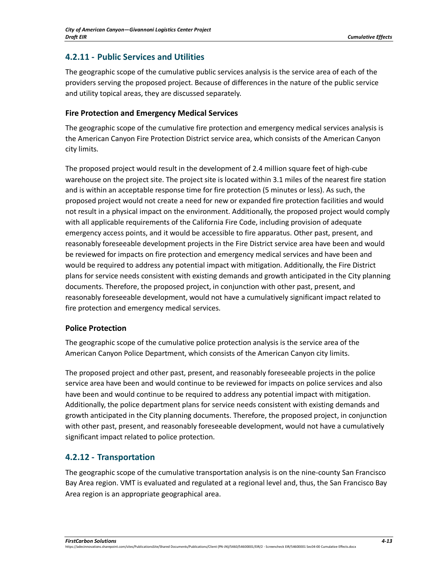### **4.2.11 - Public Services and Utilities**

The geographic scope of the cumulative public services analysis is the service area of each of the providers serving the proposed project. Because of differences in the nature of the public service and utility topical areas, they are discussed separately.

#### **Fire Protection and Emergency Medical Services**

The geographic scope of the cumulative fire protection and emergency medical services analysis is the American Canyon Fire Protection District service area, which consists of the American Canyon city limits.

The proposed project would result in the development of 2.4 million square feet of high-cube warehouse on the project site. The project site is located within 3.1 miles of the nearest fire station and is within an acceptable response time for fire protection (5 minutes or less). As such, the proposed project would not create a need for new or expanded fire protection facilities and would not result in a physical impact on the environment. Additionally, the proposed project would comply with all applicable requirements of the California Fire Code, including provision of adequate emergency access points, and it would be accessible to fire apparatus. Other past, present, and reasonably foreseeable development projects in the Fire District service area have been and would be reviewed for impacts on fire protection and emergency medical services and have been and would be required to address any potential impact with mitigation. Additionally, the Fire District plans for service needs consistent with existing demands and growth anticipated in the City planning documents. Therefore, the proposed project, in conjunction with other past, present, and reasonably foreseeable development, would not have a cumulatively significant impact related to fire protection and emergency medical services.

### **Police Protection**

The geographic scope of the cumulative police protection analysis is the service area of the American Canyon Police Department, which consists of the American Canyon city limits.

The proposed project and other past, present, and reasonably foreseeable projects in the police service area have been and would continue to be reviewed for impacts on police services and also have been and would continue to be required to address any potential impact with mitigation. Additionally, the police department plans for service needs consistent with existing demands and growth anticipated in the City planning documents. Therefore, the proposed project, in conjunction with other past, present, and reasonably foreseeable development, would not have a cumulatively significant impact related to police protection.

# **4.2.12 - Transportation**

The geographic scope of the cumulative transportation analysis is on the nine-county San Francisco Bay Area region. VMT is evaluated and regulated at a regional level and, thus, the San Francisco Bay Area region is an appropriate geographical area.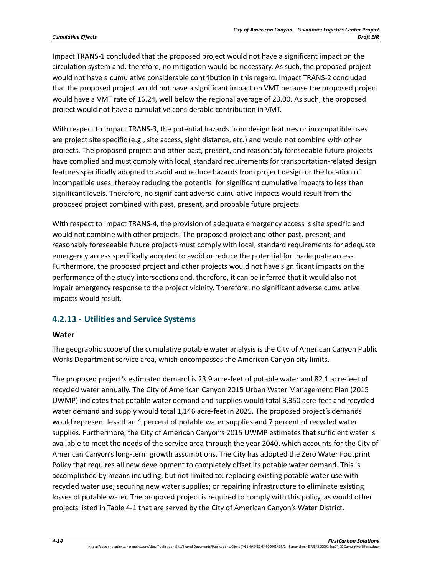Impact TRANS-1 concluded that the proposed project would not have a significant impact on the circulation system and, therefore, no mitigation would be necessary. As such, the proposed project would not have a cumulative considerable contribution in this regard. Impact TRANS-2 concluded that the proposed project would not have a significant impact on VMT because the proposed project would have a VMT rate of 16.24, well below the regional average of 23.00. As such, the proposed project would not have a cumulative considerable contribution in VMT.

With respect to Impact TRANS-3, the potential hazards from design features or incompatible uses are project site specific (e.g., site access, sight distance, etc.) and would not combine with other projects. The proposed project and other past, present, and reasonably foreseeable future projects have complied and must comply with local, standard requirements for transportation-related design features specifically adopted to avoid and reduce hazards from project design or the location of incompatible uses, thereby reducing the potential for significant cumulative impacts to less than significant levels. Therefore, no significant adverse cumulative impacts would result from the proposed project combined with past, present, and probable future projects.

With respect to Impact TRANS-4, the provision of adequate emergency access is site specific and would not combine with other projects. The proposed project and other past, present, and reasonably foreseeable future projects must comply with local, standard requirements for adequate emergency access specifically adopted to avoid or reduce the potential for inadequate access. Furthermore, the proposed project and other projects would not have significant impacts on the performance of the study intersections and, therefore, it can be inferred that it would also not impair emergency response to the project vicinity. Therefore, no significant adverse cumulative impacts would result.

#### **4.2.13 - Utilities and Service Systems**

#### **Water**

The geographic scope of the cumulative potable water analysis is the City of American Canyon Public Works Department service area, which encompasses the American Canyon city limits.

The proposed project's estimated demand is 23.9 acre-feet of potable water and 82.1 acre-feet of recycled water annually. The City of American Canyon 2015 Urban Water Management Plan (2015 UWMP) indicates that potable water demand and supplies would total 3,350 acre-feet and recycled water demand and supply would total 1,146 acre-feet in 2025. The proposed project's demands would represent less than 1 percent of potable water supplies and 7 percent of recycled water supplies. Furthermore, the City of American Canyon's 2015 UWMP estimates that sufficient water is available to meet the needs of the service area through the year 2040, which accounts for the City of American Canyon's long-term growth assumptions. The City has adopted the Zero Water Footprint Policy that requires all new development to completely offset its potable water demand. This is accomplished by means including, but not limited to: replacing existing potable water use with recycled water use; securing new water supplies; or repairing infrastructure to eliminate existing losses of potable water. The proposed project is required to comply with this policy, as would other projects listed in Table 4-1 that are served by the City of American Canyon's Water District.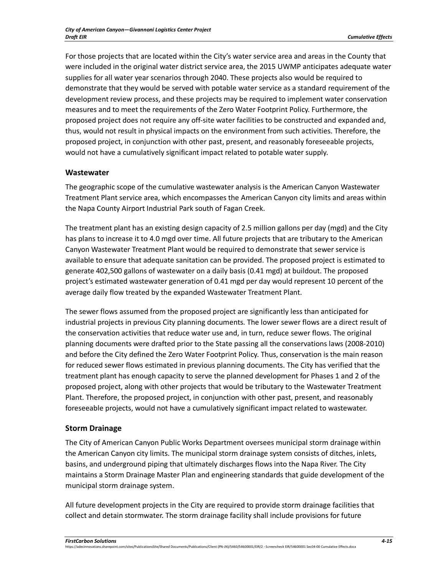For those projects that are located within the City's water service area and areas in the County that were included in the original water district service area, the 2015 UWMP anticipates adequate water supplies for all water year scenarios through 2040. These projects also would be required to demonstrate that they would be served with potable water service as a standard requirement of the development review process, and these projects may be required to implement water conservation measures and to meet the requirements of the Zero Water Footprint Policy. Furthermore, the proposed project does not require any off-site water facilities to be constructed and expanded and, thus, would not result in physical impacts on the environment from such activities. Therefore, the proposed project, in conjunction with other past, present, and reasonably foreseeable projects, would not have a cumulatively significant impact related to potable water supply.

#### **Wastewater**

The geographic scope of the cumulative wastewater analysis is the American Canyon Wastewater Treatment Plant service area, which encompasses the American Canyon city limits and areas within the Napa County Airport Industrial Park south of Fagan Creek.

The treatment plant has an existing design capacity of 2.5 million gallons per day (mgd) and the City has plans to increase it to 4.0 mgd over time. All future projects that are tributary to the American Canyon Wastewater Treatment Plant would be required to demonstrate that sewer service is available to ensure that adequate sanitation can be provided. The proposed project is estimated to generate 402,500 gallons of wastewater on a daily basis (0.41 mgd) at buildout. The proposed project's estimated wastewater generation of 0.41 mgd per day would represent 10 percent of the average daily flow treated by the expanded Wastewater Treatment Plant.

The sewer flows assumed from the proposed project are significantly less than anticipated for industrial projects in previous City planning documents. The lower sewer flows are a direct result of the conservation activities that reduce water use and, in turn, reduce sewer flows. The original planning documents were drafted prior to the State passing all the conservations laws (2008-2010) and before the City defined the Zero Water Footprint Policy. Thus, conservation is the main reason for reduced sewer flows estimated in previous planning documents. The City has verified that the treatment plant has enough capacity to serve the planned development for Phases 1 and 2 of the proposed project, along with other projects that would be tributary to the Wastewater Treatment Plant. Therefore, the proposed project, in conjunction with other past, present, and reasonably foreseeable projects, would not have a cumulatively significant impact related to wastewater.

#### **Storm Drainage**

The City of American Canyon Public Works Department oversees municipal storm drainage within the American Canyon city limits. The municipal storm drainage system consists of ditches, inlets, basins, and underground piping that ultimately discharges flows into the Napa River. The City maintains a Storm Drainage Master Plan and engineering standards that guide development of the municipal storm drainage system.

All future development projects in the City are required to provide storm drainage facilities that collect and detain stormwater. The storm drainage facility shall include provisions for future